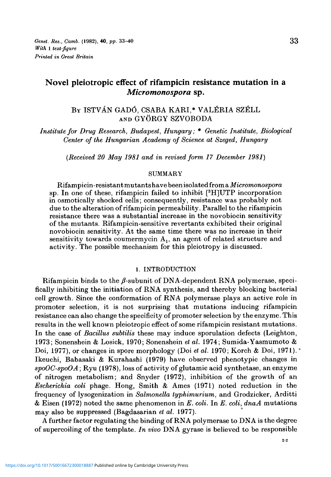# Novel pleiotropic effect of rifampicin resistance mutation in a *Micromonospora* sp.

## BY ISTVAN GADO, CSABA KARI,\* VALERIA SZELL AND GYORGY SZVOBODA

*Institute for Drug Research, Budapest, Hungary;* \* *Genetic Institute, Biological Center of the Hungarian Academy of Science at Szeged, Hungary*

*(Received 20 May 1981 and in revised form 17 December 1981)*

### **SUMMARY**

Rifampicin-resistant mutants have been isolated from a *Micromonospora* sp. In one of these, rifampicin failed to inhibit [<sup>3</sup> H]UTP incorporation in osmotically shocked cells; consequently, resistance was probably not due to the alteration of rifampicin permeability. Parallel to the rifampicin resistance there was a substantial increase in the novobiocin sensitivity of the mutants. Rifampicin-sensitive revertants exhibited their original novobiocin sensitivity. At the same time there was no increase in their sensitivity towards coumermycin  $A_1$ , an agent of related structure and activity. The possible mechanism for this pleiotropy is discussed.

### 1. INTRODUCTION

Rifampicin binds to the  $\beta$ -subunit of DNA-dependent RNA polymerase, specifically inhibiting the initiation of RNA synthesis, and thereby blocking bacterial cell growth. Since the conformation of RNA polymerase plays an active role in promoter selection, it is not surprising that mutations inducing rifampicin resistance can also change the specificity of promoter selection by the enzyme. This results in the well known pleiotropic effect of some rifampicin resistant mutations. In the case of *Bacillus subtilis* these may induce sporulation defects (Leighton, 1973; Sonenshein & Losick, 1970; Sonenshein *et al.* 1974; Sumida-Yasmumoto & Doi, 1977), or changes in spore morphology (Doi *et al.* 1970; Korch & Doi, 1971). Ikeuchi, Babasaki & Kurahashi (1979) have observed phenotypic changes in *spoOC-spoOA*; Ryu (1978), loss of activity of glutamic acid synthetase, an enzyme of nitrogen metabolism; and Snyder (1972), inhibition of the growth of an *Escherichia coli* phage. Hong, Smith & Ames (1971) noted reduction in the frequency of lysogenization in *Salmonella typhimurium,* and Grodzicker, Arditti & Eisen (1972) noted the same phenomenon in *E. coli.* In *E. coli, dnaA* mutations may also be suppressed (Bagdasarian *et al.* 1977).

A further factor regulating the binding of RNA polymerase to DNA is the degree of supercoiling of the template. *In vivo* DNA gyrase is believed to be responsible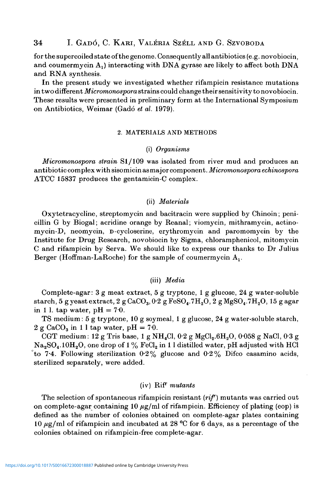for the supercoiled state of the genome. Consequently all antibiotics (e.g. novobiocin, and coumermycin  $A_1$ ) interacting with DNA gyrase are likely to affect both DNA and RNA synthesis.

In the present study we investigated whether rifampicin resistance mutations in two different *Micromonospora* strains could change their sensitivity to novobiocin. These results were presented in preliminary form at the International Symposium on Antibiotics, Weimar (Gado *et al.* 1979).

#### 2. MATERIALS AND METHODS

### (i) *Organisms*

*Micromonospora strain* SI/109 was isolated from river mud and produces an antibiotic complex with sisomicin as major component. *Micromonospora echinospora* ATCC 15837 produces the gentamicin-C complex.

#### (ii) *Materials*

Oxytetracycline, streptomycin and bacitracin were supplied by Chinoin; penicillin G by Biogal; acridine orange by Reanal; viomycin, mithramycin, actinomycin-D, neomycin, D-cycloserine, erythromycin and paromomycin by the Institute for Drug Research, novobiocin by Sigma, chloramphenicol, mitomycin C and rifampicin by Serva. We should like to express our thanks to Dr Julius Berger (Hoffman-LaRoche) for the sample of coumermycin  $A_1$ .

### (iii) *Media*

Complete-agar: 3 g meat extract, 5 g tryptone, 1 g glucose, 24 g water-soluble starch, 5 g yeast extract,  $2 g$  CaCO<sub>3</sub>,  $0.2 g$  FeSO<sub>4</sub>.7H<sub>2</sub>O,  $2 g$  MgSO<sub>4</sub>.7H<sub>2</sub>O, 15 g agar in 1 l. tap water,  $pH = 7.0$ .

TS medium: 5 g tryptone, 10 g soymeal, 1 g glucose, 24 g water-soluble starch, 2 g CaCO<sub>3</sub> in 1 l tap water, pH = 70.

CGT medium: 12 g Tris base, 1 g NH<sub>4</sub>Cl,  $0.2$  g MgCl<sub>2</sub>.6H<sub>2</sub>O,  $0.058$  g NaCl,  $0.3$  g  $Na<sub>2</sub>SO<sub>4</sub>$ .10H<sub>2</sub>O, one drop of 1% FeCl<sub>2</sub> in 1 l distilled water, pH adjusted with HCl to 7.4. Following sterilization 0.2% glucose and 0.2% Difco casamino acids, sterilized separately, were added.

### (iv) RiP" *mutants*

The selection of spontaneous rifampicin resistant *(rif)* mutants was carried out on complete-agar containing 10  $\mu$ g/ml of rifampicin. Efficiency of plating (eop) is defined as the number of colonies obtained on complete-agar plates containing 10  $\mu$ g/ml of rifampicin and incubated at 28 °C for 6 days, as a percentage of the colonies obtained on rifampicin-free complete-agar.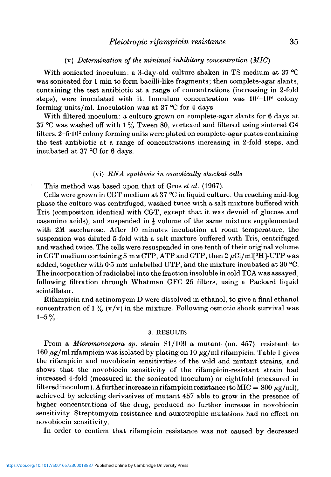### *Pleiotropic rifampicin resistance* 35

### (v) *Determination of the minimal inhibitory concentration (MIC)*

With sonicated inoculum: a 3-day-old culture shaken in TS medium at 37 °C was sonicated for 1 min to form bacilli-like fragments; then complete-agar slants, containing the test antibiotic at a range of concentrations (increasing in 2-fold steps), were inoculated with it. Inoculum concentration was  $10^7-10^8$  colony forming units/ml. Inoculation was at 37 °C for 4 days.

With filtered inoculum: a culture grown on complete-agar slants for 6 days at 37 °C was washed off with 1 % Tween 80, vortexed and filtered using sintered G4 filters. 2-5·10<sup>2</sup> colony forming units were plated on complete-agar plates containing the test antibiotic at a range of concentrations increasing in 2-fold steps, and incubated at 37 °C for 6 days.

### (vi) *RNA synthesis in osmotically shocked cells*

This method was based upon that of Gros *et al.* (1967).

Cells were grown in CGT medium at 37 °C in liquid culture. On reaching mid-log phase the culture was centrifuged, washed twice with a salt mixture buffered with Tris (composition identical with CGT, except that it was devoid of glucose and casamino acids), and suspended in  $\frac{1}{6}$  volume of the same mixture supplemented with 2M saccharose. After 10 minutes incubation at room temperature, the suspension was diluted 5-fold with a salt mixture buffered with Tris, centrifuged and washed twice. The cells were resuspended in one tenth of their original volume in CGT medium containing 5 mm CTP, ATP and GTP, then 2  $\mu\mathrm{Ci}/\mathrm{ml[^3H]}$ -UTP was added, together with 0.5 mm unlabelled UTP, and the mixture incubated at 30 °C. The incorporation of radiolabel into the fraction insoluble in cold TCA was assayed, following filtration through Whatman GFC 25 filters, using a Packard liquid scintillator.

Rifampicin and actinomycin D were dissolved in ethanol, to give a final ethanol concentration of  $1\%$  (v/v) in the mixture. Following osmotic shock survival was  $1-5\%$ .

#### 3. RESULTS

From a *Micromonospora sp.* strain Sl/109 a mutant (no. 457), resistant to 160  $\mu$ g/ml rifampicin was isolated by plating on 10  $\mu$ g/ml rifampicin. Table 1 gives the rifampicin and novobiocin sensitivities of the wild and mutant strains, and shows that the novobiocin sensitivity of the rifampicin-resistant strain had increased 4-fold (measured in the sonicated inoculum) or eightfold (measured in filtered inoculum). A further increase in rifampicin resistance (to MIC =  $800 \mu g/ml$ ), achieved by selecting derivatives of mutant 457 able to grow in the presence of higher concentrations of the drug, produced no further increase in novobiocin sensitivity. Streptomycin resistance and auxotrophic mutations had no effect on novobiocin sensitivity.

In order to confirm that rifampicin resistance was not caused by decreased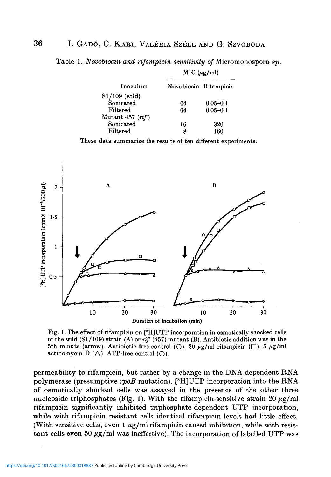Table 1. *Novobiocin and rifampicin sensitivity of* Micromonospora *sp.*

| Inoculum                     | MIC (µg/ml)           |              |  |
|------------------------------|-----------------------|--------------|--|
|                              | Novobiocin Rifampicin |              |  |
| $S1/109$ (wild)<br>Sonicated | 64                    | $0.05 - 0.1$ |  |
| Filtered                     | 64                    | $0.05 - 0.1$ |  |
| Mutant 457 $(rif)$           |                       |              |  |
| Sonicated                    | 16                    | 320          |  |
| Filtered                     | я                     | 160          |  |

These data summarize the results of ten different experiments.



Fig. 1. The effect of rifampicin on [3 H]UTP incorporation in osmotically shocked cells of the wild (Sl/109) strain (A) or *rif* (457) mutant (B). Antibiotic addition was in the 5th minute (arrow). Antibiotic free control (O), 20  $\mu$ g/ml rifampicin ( $\Box$ ), 5  $\mu$ g/ml actinomycin D  $(\triangle)$ , ATP-free control  $(\odot)$ .

permeability to rifampicin, but rather by a change in the DNA-dependent RNA polymerase (presumptive *rpoB* mutation), [<sup>3</sup> H]UTP incorporation into the RNA of osmotically shocked cells was assayed in the presence of the other three nucleoside triphosphates (Fig. 1). With the rifampicin-sensitive strain 20  $\mu$ g/ml rifampicin significantly inhibited triphosphate-dependent UTP incorporation, while with rifampicin resistant cells identical rifampicin levels had little effect. (With sensitive cells, even  $1 \mu g/ml$  rifampicin caused inhibition, while with resistant cells even 50  $\mu$ g/ml was ineffective). The incorporation of labelled UTP was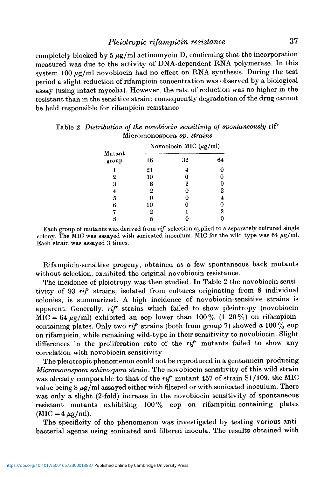completely blocked by  $5 \mu g/ml$  actinomycin D, confirming that the incorporation measured was due to the activity of DNA-dependent RNA polymerase. In this system 100  $\mu$ g/ml novobiocin had no effect on RNA synthesis. During the test period a slight reduction of rifampicin concentration was observed by a biological assay (using intact mycelia). However, the rate of reduction was no higher in the resistant than in the sensitive strain; consequently degradation of the drug cannot be held responsible for rifampicin resistance.

|                  | Novobiocin MIC $(\mu g/ml)$ |                  |                |
|------------------|-----------------------------|------------------|----------------|
| Mutant<br>group  | 16                          | 32               | 64             |
|                  | 21                          | 4                | 0              |
| 2                | 30                          | 0                | 0              |
| 3                | 8                           | $\boldsymbol{2}$ | 0              |
| $\boldsymbol{4}$ | $\boldsymbol{2}$            | 0                | 2              |
| $\overline{5}$   | 0                           | 0                | 4              |
| 6                | 10                          | 0                | 0              |
| 7                | $\bf{2}$                    |                  | $\overline{2}$ |
| ጸ                | 5                           |                  |                |

Table 2. *Distribution of the novobiocin sensitivity of spontaneously* rif Micromonospora *sp. strains*

Rifampicin-sensitive progeny, obtained as a few spontaneous back mutants without selection, exhibited the original novobiocin resistance.

The incidence of pleiotropy was then studied. In Table 2 the novobiocin sensitivity of 93 *rif* strains, isolated from cultures originating from 8 individual colonies, is summarized. A high incidence of novobiocin-sensitive strains is apparent. Generally, *rif* strains which failed to show pleiotropy (novobiocin MIC = 64  $\mu$ g/ml) exhibited an eop lower than 100% (1-20%) on rifampicincontaining plates. Only two *rif* strains (both from group 7) showed a 100% eop on rifampicin, while remaining wild-type in their sensitivity to novobiocin. Slight differences in the proliferation rate of the *rif* mutants failed to show any correlation with novobiocin sensitivity.

The pleiotropic phenomenon could not be reproduced in a gentamicin-producing *Micromonospora echinospora* strain. The novobiocin sensitivity of this wild strain was already comparable to that of the *rif* mutant 457 of strain Sl/109, the MIC value being  $8 \mu g/ml$  assayed either with filtered or with sonicated inoculum. There was only a slight (2-fold) increase in the novobiocin sensitivity of spontaneous resistant mutants exhibiting 100% eop on rifampicin-containing plates  $(MIC=4 \mu g/ml)$ .

The specificity of the phenomenon was investigated by testing various antibacterial agents using sonicated and filtered inocula. The results obtained with

Each group of mutants was derived from *rif* selection applied to a separately cultured single colony. The MIC was assayed with sonicated inoculum. MIC for the wild type was 64  $\mu$ g/ml. Each strain was assayed 3 times.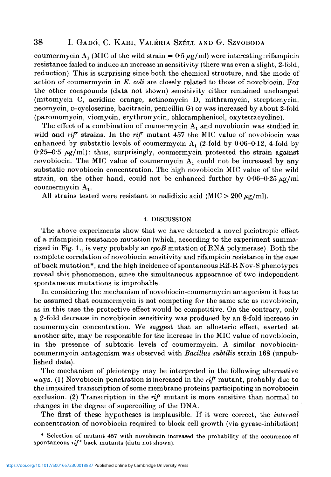### 38 I. GADO, C. KARI , VALERIA SZELL AND G. SZVOBODA

coumermycin A<sub>1</sub> (MIC of the wild strain =  $0.5 \mu g/ml$ ) were interesting: rifampicin resistance failed to induce an increase in sensitivity (there was even a slight, 2-fold, reduction). This is surprising since both the chemical structure, and the mode of action of coumermycin in *E. coli* are closely related to those of novobiocin. For the other compounds (data not shown) sensitivity either remained unchanged (mitomycin C, acridine orange, actinomycin D, mithramycin, streptomycin, neomycin, D-cycloserine, bacitracin, penicillin G) or was increased by about 2-fold (paromomycin, viomycin, erythromycin, chloramphenicol, oxytetracycline).

The effect of a combination of coumermycin  $A_1$  and novobiocin was studied in wild and  $\pi i \mathcal{F}$  strains. In the  $\pi i \mathcal{F}$  mutant 457 the MIC value of novobiocin was enhanced by substatic levels of coumermycin  $A_1$  (2-fold by 0.06-0.12, 4-fold by  $0.25-0.5 \mu g/ml$ : thus, surprisingly, coumermycin protected the strain against novobiocin. The MIC value of coumermycin  $A_1$  could not be increased by any substatic novobiocin concentration. The high novobiocin MIC value of the wild strain, on the other hand, could not be enhanced further by  $0.06-0.25 \mu g/ml$ coumermycin  $A_1$ .

All strains tested were resistant to nalidixic acid (MIC  $>$  200  $\mu$ g/ml).

### 4. DISCUSSION

The above experiments show that we have detected a novel pleiotropic effect of a rifampicin resistance mutation (which, according to the experiment summarized in Fig. 1., is very probably an *rpoB* mutation of RNA polymerase). Both the complete correlation of novobiocin sensitivity and rifampicin resistance in the case of back mutation\*, and the high incidence of spontaneous Rif-R Nov-S phenotypes reveal this phenomenon, since the simultaneous appearance of two independent spontaneous mutations is improbable.

In considering the mechanism of novobiocin-coumermycin antagonism it has to be assumed that coumermycin is not competing for the same site as novobiocin, as in this case the protective effect would be competitive. On the contrary, only a 2-fold decrease in novobiocin sensitivity was produced by an 8-fold increase in coumermycin concentration. We suggest that an allosteric effect, exerted at another site, may be responsible for the increase in the MIC value of novobiocin, in the presence of subtoxic levels of coumermycin. A similar novobiocincoumermycin antagonism was observed with *Bacillus subtilis* strain 168 (unpublished data).

The mechanism of pleiotropy may be interpreted in the following alternative ways. (1) Novobiocin penetration is increased in the *rif* mutant, probably due to the impaired transcription of some membrane proteins participating in novobiocin exclusion. (2) Transcription in the *rip* mutant is more sensitive than normal to changes in the degree of supercoiling of the DNA.

The first of these hypotheses is implausible. If it were correct, the *internal* concentration of novobiocin required to block cell growth (via gyrase-inhibition)

\* Selection of mutant 457 with novobiocin increased the probability of the occurrence of spontaneous *rif<sup>s</sup>* back mutants (data not shown).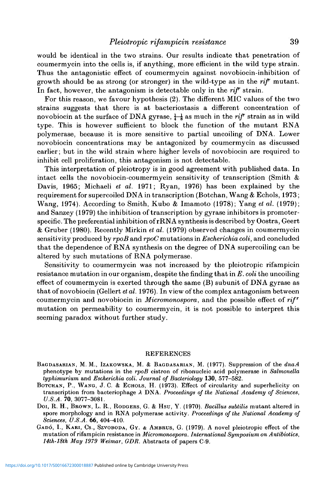## *Pleiotropic rifampicin resistance* 39

would be identical in the two strains. Our results indicate that penetration of coumermycin into the cells is, if anything, more efficient in the wild type strain. Thus the antagonistic effect of coumermycin against novobiocin-inhibition of growth should be as strong (or stronger) in the wild-type as in the *rif* mutant. In fact, however, the antagonism is detectable only in the *rif* strain.

For this reason, we favour hypothesis (2). The different MIC values of the two strains suggests that there is at bacteriostasis a different concentration of novobiocin at the surface of DNA gyrase,  $\frac{1}{4}$  as much in the *riff* strain as in wild type. This is however sufficient to block the function of the mutant RNA polymerase, because it is more sensitive to partial uncoiling of DNA. Lower novobiocin concentrations may be antagonized by coumermycin as discussed earlier; but in the wild strain where higher levels of novobiocin are required to inhibit cell proliferation, this antagonism is not detectable.

This interpretation of pleiotropy is in good agreement with published data. In intact cells the novobiocin-coumermycin sensitivity of transcription (Smith  $\&$ Davis, 1965; Michaeli *et al.* 1971; Ryan, 1976) has been explained by the requirement for supercoiled DNA in transcription (Botchan, Wang & Echols, 1973; Wang, 1974). According to Smith, Kubo & Imamoto (1978); Yang *et al.* (1979); and Sanzey (1979) the inhibition of transcription by gyrase inhibitors is promoterspecific. The preferential inhibition of rRNA synthesis is described by Oostra, Geert & Gruber (1980). Recently Mirkin *et al.* (1979) observed changes in coumermycin sensitivity produced by *rpoB* and *rpoC* mutations in *Escherichia coli,* and concluded that the dependence of RNA synthesis on the degree of DNA supercoiling can be altered by such mutations of RNA polymerase.

Sensitivity to coumermycin was not increased by the pleiotropic rifampicin resistance mutation in our organism, despite the finding that in *E. coli* the uncoiling effect of coumermycin is exerted through the same (B) subunit of DNA gyrase as that of novobiocin (Gellert *et al.* 1976). In view of the complex antagonism between coumermycin and novobiocin in *Micromonospora,* and the possible effect of *rifr* mutation on permeability to coumermycin, it is not possible to interpret this seeming paradox without further study.

### REFERENCES

- BAGDASARIAN, M. M., IZAKOWSKA, M. & BAGDASARIAN, M. (1977). Suppression of the *dnaA* phenotype by mutations in the *rpoB* cistron of ribonucleic acid polymerase in *Salmonella typhimurium* and *Escherichia coli. Journal of Bacteriology* **130,** 577-582. BOTCHAN, P., WANG, J. C. & ECHOLS, H. (1973). Effect of circularity and superhelicity on
- transcription from bacteriophage A DNA. *Proceedings of the National Academy of Sciences, U.S.A.* 70, 3077-3081. Doi, R. H., BROWN, L. R., RODGERS, G. & Hsu, Y. (1970). *Bacillus subtilis* mutant altered in
- spore morphology and in RNA polymerase activity. *Proceedings of the National Academy of Sciences, U.S.A.* 66, 404-410.<br>GADÓ, I., KARI, CS., SZVOBODA, GY. & AMBRUS, G. (1979). A novel pleiotropic effect of the
- mutation of rifampicin resistance in *Micromonospora. International Symposium on Antibiotics, 14th-18th May 1979 Weimar, GDR.* Abstracts of papers C-9.